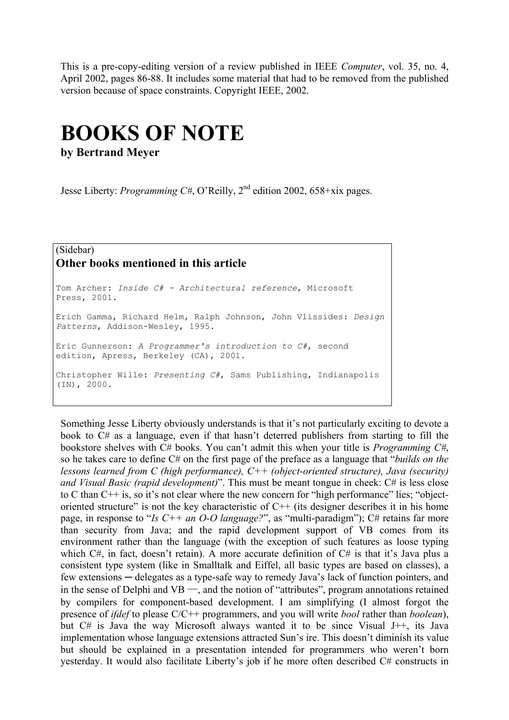This is a pre-copy-editing version of a review published in IEEE *Computer*, vol. 35, no. 4, April 2002, pages 86-88. It includes some material that had to be removed from the published version because of space constraints. Copyright IEEE, 2002.

## **BOOKS OF NOTE**

**by Bertrand Meyer** 

Jesse Liberty: *Programming C#*, O'Reilly, 2<sup>nd</sup> edition 2002, 658+xix pages.

## (Sidebar) **Other books mentioned in this article**

Tom Archer: *Inside C# - Architectural reference*, Microsoft Press, 2001. [Erich Gamma](http://www.amazon.com/exec/obidos/search-handle-url/index=books&field-author=Erich Gamma/103-2546829-8270254), [Richard Helm](http://www.amazon.com/exec/obidos/search-handle-url/index=books&field-author=Richard Helm/103-2546829-8270254), [Ralph Johnson](http://www.amazon.com/exec/obidos/search-handle-url/index=books&field-author=Ralph Johnson/103-2546829-8270254), [John Vlissides](http://www.amazon.com/exec/obidos/search-handle-url/index=books&field-author=John Vlissides/103-2546829-8270254): *Design Patterns*, Addison-Wesley, 1995. Eric Gunnerson: *A Programmer's introduction to C#*, second edition, Apress, Berkeley (CA), 2001. Christopher Wille: *Presenting C#*, Sams Publishing, Indianapolis (IN), 2000.

Something Jesse Liberty obviously understands is that it's not particularly exciting to devote a book to C# as a language, even if that hasn't deterred publishers from starting to fill the bookstore shelves with C# books. You can't admit this when your title is *Programming C#*, so he takes care to define C# on the first page of the preface as a language that "*builds on the lessons learned from C (high performance), C++ (object-oriented structure), Java (security) and Visual Basic (rapid development)*". This must be meant tongue in cheek: C# is less close to C than C++ is, so it's not clear where the new concern for "high performance" lies; "objectoriented structure" is not the key characteristic of  $C++$  (its designer describes it in his home page, in response to "*Is C++ an O-O language?*", as "multi-paradigm"); C# retains far more than security from Java; and the rapid development support of VB comes from its environment rather than the language (with the exception of such features as loose typing which C#, in fact, doesn't retain). A more accurate definition of C# is that it's Java plus a consistent type system (like in Smalltalk and Eiffel, all basic types are based on classes), a few extensions ─ delegates as a type-safe way to remedy Java's lack of function pointers, and in the sense of Delphi and VB  $-$ , and the notion of "attributes", program annotations retained by compilers for component-based development. I am simplifying (I almost forgot the presence of *ifdef* to please C/C++ programmers, and you will write *bool* rather than *boolean*), but C# is Java the way Microsoft always wanted it to be since Visual J++, its Java implementation whose language extensions attracted Sun's ire. This doesn't diminish its value but should be explained in a presentation intended for programmers who weren't born yesterday. It would also facilitate Liberty's job if he more often described C# constructs in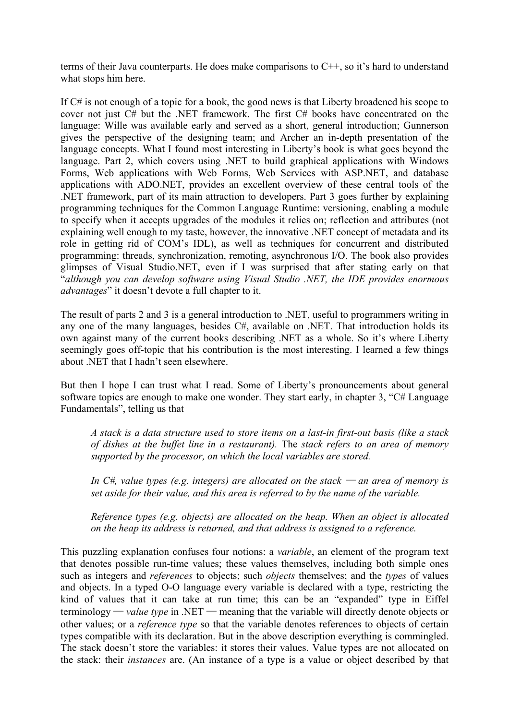terms of their Java counterparts. He does make comparisons to C++, so it's hard to understand what stops him here.

If C# is not enough of a topic for a book, the good news is that Liberty broadened his scope to cover not just C# but the .NET framework. The first C# books have concentrated on the language: Wille was available early and served as a short, general introduction; Gunnerson gives the perspective of the designing team; and Archer an in-depth presentation of the language concepts. What I found most interesting in Liberty's book is what goes beyond the language. Part 2, which covers using .NET to build graphical applications with Windows Forms, Web applications with Web Forms, Web Services with ASP.NET, and database applications with ADO.NET, provides an excellent overview of these central tools of the .NET framework, part of its main attraction to developers. Part 3 goes further by explaining programming techniques for the Common Language Runtime: versioning, enabling a module to specify when it accepts upgrades of the modules it relies on; reflection and attributes (not explaining well enough to my taste, however, the innovative .NET concept of metadata and its role in getting rid of COM's IDL), as well as techniques for concurrent and distributed programming: threads, synchronization, remoting, asynchronous I/O. The book also provides glimpses of Visual Studio.NET, even if I was surprised that after stating early on that "*although you can develop software using Visual Studio .NET, the IDE provides enormous advantages*" it doesn't devote a full chapter to it.

The result of parts 2 and 3 is a general introduction to .NET, useful to programmers writing in any one of the many languages, besides C#, available on .NET. That introduction holds its own against many of the current books describing .NET as a whole. So it's where Liberty seemingly goes off-topic that his contribution is the most interesting. I learned a few things about .NET that I hadn't seen elsewhere.

But then I hope I can trust what I read. Some of Liberty's pronouncements about general software topics are enough to make one wonder. They start early, in chapter 3, "C# Language Fundamentals", telling us that

*A stack is a data structure used to store items on a last-in first-out basis (like a stack of dishes at the buffet line in a restaurant).* The *stack refers to an area of memory supported by the processor, on which the local variables are stored.* 

*In C*#, value types (e.g. integers) are allocated on the stack — an area of memory is *set aside for their value, and this area is referred to by the name of the variable.*

*Reference types (e.g. objects) are allocated on the heap. When an object is allocated on the heap its address is returned, and that address is assigned to a reference.* 

This puzzling explanation confuses four notions: a *variable*, an element of the program text that denotes possible run-time values; these values themselves, including both simple ones such as integers and *references* to objects; such *objects* themselves; and the *types* of values and objects. In a typed O-O language every variable is declared with a type, restricting the kind of values that it can take at run time; this can be an "expanded" type in Eiffel terminology — *value type* in .NET — meaning that the variable will directly denote objects or other values; or a *reference type* so that the variable denotes references to objects of certain types compatible with its declaration. But in the above description everything is commingled. The stack doesn't store the variables: it stores their values. Value types are not allocated on the stack: their *instances* are. (An instance of a type is a value or object described by that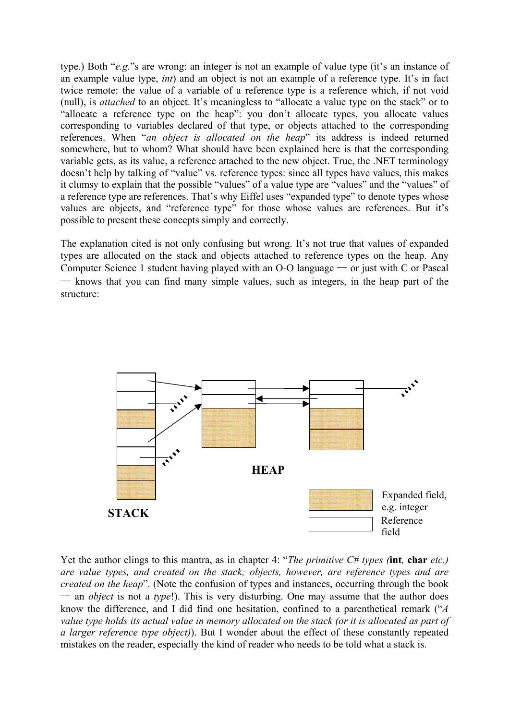type.) Both "*e.g.*"s are wrong: an integer is not an example of value type (it's an instance of an example value type, *int*) and an object is not an example of a reference type. It's in fact twice remote: the value of a variable of a reference type is a reference which, if not void (null), is *attached* to an object. It's meaningless to "allocate a value type on the stack" or to "allocate a reference type on the heap": you don't allocate types, you allocate values corresponding to variables declared of that type, or objects attached to the corresponding references. When "*an object is allocated on the heap*" its address is indeed returned somewhere, but to whom? What should have been explained here is that the corresponding variable gets, as its value, a reference attached to the new object. True, the .NET terminology doesn't help by talking of "value" vs. reference types: since all types have values, this makes it clumsy to explain that the possible "values" of a value type are "values" and the "values" of a reference type are references. That's why Eiffel uses "expanded type" to denote types whose values are objects, and "reference type" for those whose values are references. But it's possible to present these concepts simply and correctly.

The explanation cited is not only confusing but wrong. It's not true that values of expanded types are allocated on the stack and objects attached to reference types on the heap. Any Computer Science 1 student having played with an  $O-O$  language — or just with C or Pascal ─ knows that you can find many simple values, such as integers, in the heap part of the structure:



Yet the author clings to this mantra, as in chapter 4: "*The primitive C# types (***int***,* **char** *etc.) are value types, and created on the stack; objects, however, are reference types and are created on the heap*". (Note the confusion of types and instances, occurring through the book  $-$  an *object* is not a *type*!). This is very disturbing. One may assume that the author does know the difference, and I did find one hesitation, confined to a parenthetical remark ("*A value type holds its actual value in memory allocated on the stack (or it is allocated as part of a larger reference type object)*). But I wonder about the effect of these constantly repeated mistakes on the reader, especially the kind of reader who needs to be told what a stack is.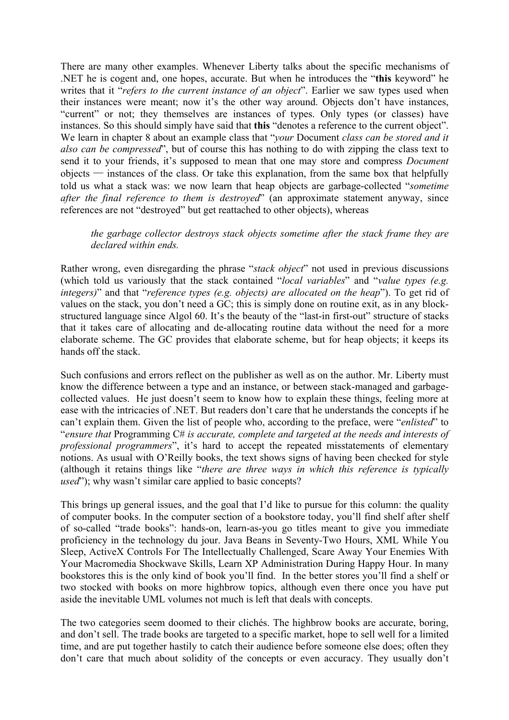There are many other examples. Whenever Liberty talks about the specific mechanisms of .NET he is cogent and, one hopes, accurate. But when he introduces the "**this** keyword" he writes that it "*refers to the current instance of an object*". Earlier we saw types used when their instances were meant; now it's the other way around. Objects don't have instances, "current" or not; they themselves are instances of types. Only types (or classes) have instances. So this should simply have said that **this** "denotes a reference to the current object". We learn in chapter 8 about an example class that "*your* Document *class can be stored and it also can be compressed*", but of course this has nothing to do with zipping the class text to send it to your friends, it's supposed to mean that one may store and compress *Document*  $objects$   $-$  instances of the class. Or take this explanation, from the same box that helpfully told us what a stack was: we now learn that heap objects are garbage-collected "*sometime after the final reference to them is destroyed*" (an approximate statement anyway, since references are not "destroyed" but get reattached to other objects), whereas

## *the garbage collector destroys stack objects sometime after the stack frame they are declared within ends.*

Rather wrong, even disregarding the phrase "*stack object*" not used in previous discussions (which told us variously that the stack contained "*local variables*" and "*value types (e.g. integers)*" and that "*reference types (e.g. objects) are allocated on the heap*"). To get rid of values on the stack, you don't need a GC; this is simply done on routine exit, as in any blockstructured language since Algol 60. It's the beauty of the "last-in first-out" structure of stacks that it takes care of allocating and de-allocating routine data without the need for a more elaborate scheme. The GC provides that elaborate scheme, but for heap objects; it keeps its hands off the stack.

Such confusions and errors reflect on the publisher as well as on the author. Mr. Liberty must know the difference between a type and an instance, or between stack-managed and garbagecollected values. He just doesn't seem to know how to explain these things, feeling more at ease with the intricacies of .NET. But readers don't care that he understands the concepts if he can't explain them. Given the list of people who, according to the preface, were "*enlisted*" to "*ensure that* Programming C# *is accurate, complete and targeted at the needs and interests of professional programmers*", it's hard to accept the repeated misstatements of elementary notions. As usual with O'Reilly books, the text shows signs of having been checked for style (although it retains things like "*there are three ways in which this reference is typically used*"); why wasn't similar care applied to basic concepts?

This brings up general issues, and the goal that I'd like to pursue for this column: the quality of computer books. In the computer section of a bookstore today, you'll find shelf after shelf of so-called "trade books": hands-on, learn-as-you go titles meant to give you immediate proficiency in the technology du jour. Java Beans in Seventy-Two Hours, XML While You Sleep, ActiveX Controls For The Intellectually Challenged, Scare Away Your Enemies With Your Macromedia Shockwave Skills, Learn XP Administration During Happy Hour. In many bookstores this is the only kind of book you'll find. In the better stores you'll find a shelf or two stocked with books on more highbrow topics, although even there once you have put aside the inevitable UML volumes not much is left that deals with concepts.

The two categories seem doomed to their clichés. The highbrow books are accurate, boring, and don't sell. The trade books are targeted to a specific market, hope to sell well for a limited time, and are put together hastily to catch their audience before someone else does; often they don't care that much about solidity of the concepts or even accuracy. They usually don't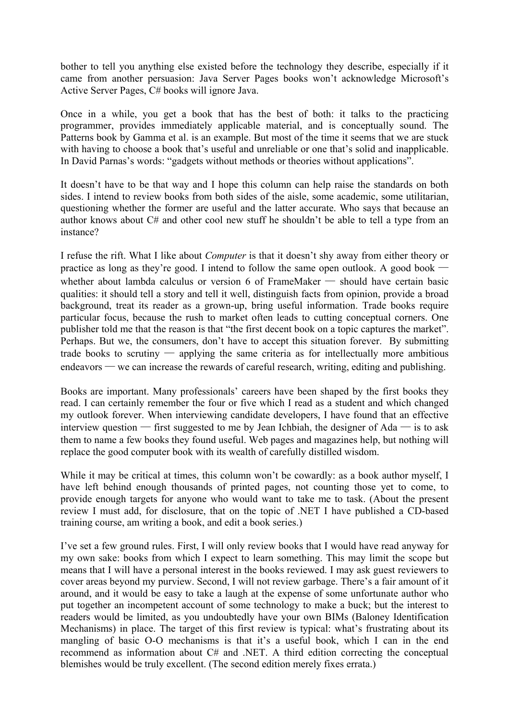bother to tell you anything else existed before the technology they describe, especially if it came from another persuasion: Java Server Pages books won't acknowledge Microsoft's Active Server Pages, C# books will ignore Java.

Once in a while, you get a book that has the best of both: it talks to the practicing programmer, provides immediately applicable material, and is conceptually sound. The Patterns book by Gamma et al. is an example. But most of the time it seems that we are stuck with having to choose a book that's useful and unreliable or one that's solid and inapplicable. In David Parnas's words: "gadgets without methods or theories without applications".

It doesn't have to be that way and I hope this column can help raise the standards on both sides. I intend to review books from both sides of the aisle, some academic, some utilitarian, questioning whether the former are useful and the latter accurate. Who says that because an author knows about C# and other cool new stuff he shouldn't be able to tell a type from an instance?

I refuse the rift. What I like about *Computer* is that it doesn't shy away from either theory or practice as long as they're good. I intend to follow the same open outlook. A good book  $\cdot$ whether about lambda calculus or version 6 of FrameMaker — should have certain basic qualities: it should tell a story and tell it well, distinguish facts from opinion, provide a broad background, treat its reader as a grown-up, bring useful information. Trade books require particular focus, because the rush to market often leads to cutting conceptual corners. One publisher told me that the reason is that "the first decent book on a topic captures the market". Perhaps. But we, the consumers, don't have to accept this situation forever. By submitting trade books to scrutiny  $\sim$  applying the same criteria as for intellectually more ambitious  $\epsilon$ endeavors — we can increase the rewards of careful research, writing, editing and publishing.

Books are important. Many professionals' careers have been shaped by the first books they read. I can certainly remember the four or five which I read as a student and which changed my outlook forever. When interviewing candidate developers, I have found that an effective interview question — first suggested to me by Jean Ichbiah, the designer of Ada — is to ask them to name a few books they found useful. Web pages and magazines help, but nothing will replace the good computer book with its wealth of carefully distilled wisdom.

While it may be critical at times, this column won't be cowardly: as a book author myself, I have left behind enough thousands of printed pages, not counting those yet to come, to provide enough targets for anyone who would want to take me to task. (About the present review I must add, for disclosure, that on the topic of .NET I have published a CD-based training course, am writing a book, and edit a book series.)

I've set a few ground rules. First, I will only review books that I would have read anyway for my own sake: books from which I expect to learn something. This may limit the scope but means that I will have a personal interest in the books reviewed. I may ask guest reviewers to cover areas beyond my purview. Second, I will not review garbage. There's a fair amount of it around, and it would be easy to take a laugh at the expense of some unfortunate author who put together an incompetent account of some technology to make a buck; but the interest to readers would be limited, as you undoubtedly have your own BIMs (Baloney Identification Mechanisms) in place. The target of this first review is typical: what's frustrating about its mangling of basic O-O mechanisms is that it's a useful book, which I can in the end recommend as information about C# and .NET. A third edition correcting the conceptual blemishes would be truly excellent. (The second edition merely fixes errata.)